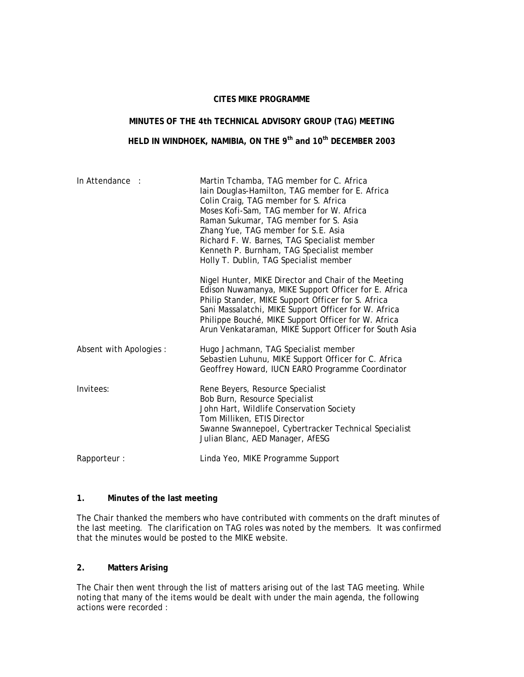#### **CITES MIKE PROGRAMME**

# **MINUTES OF THE 4th TECHNICAL ADVISORY GROUP (TAG) MEETING**

# **HELD IN WINDHOEK, NAMIBIA, ON THE 9th and 10th DECEMBER 2003**

| In Attendance :         | Martin Tchamba, TAG member for C. Africa<br>lain Douglas-Hamilton, TAG member for E. Africa<br>Colin Craig, TAG member for S. Africa<br>Moses Kofi-Sam, TAG member for W. Africa<br>Raman Sukumar, TAG member for S. Asia<br>Zhang Yue, TAG member for S.E. Asia<br>Richard F. W. Barnes, TAG Specialist member<br>Kenneth P. Burnham, TAG Specialist member<br>Holly T. Dublin, TAG Specialist member |  |
|-------------------------|--------------------------------------------------------------------------------------------------------------------------------------------------------------------------------------------------------------------------------------------------------------------------------------------------------------------------------------------------------------------------------------------------------|--|
|                         | Nigel Hunter, MIKE Director and Chair of the Meeting<br>Edison Nuwamanya, MIKE Support Officer for E. Africa<br>Philip Stander, MIKE Support Officer for S. Africa<br>Sani Massalatchi, MIKE Support Officer for W. Africa<br>Philippe Bouché, MIKE Support Officer for W. Africa<br>Arun Venkataraman, MIKE Support Officer for South Asia                                                            |  |
| Absent with Apologies : | Hugo Jachmann, TAG Specialist member<br>Sebastien Luhunu, MIKE Support Officer for C. Africa<br>Geoffrey Howard, IUCN EARO Programme Coordinator                                                                                                                                                                                                                                                       |  |
| Invitees:               | Rene Beyers, Resource Specialist<br>Bob Burn, Resource Specialist<br>John Hart, Wildlife Conservation Society<br>Tom Milliken, ETIS Director<br>Swanne Swannepoel, Cybertracker Technical Specialist<br>Julian Blanc, AED Manager, AfESG                                                                                                                                                               |  |
| Rapporteur:             | Linda Yeo, MIKE Programme Support                                                                                                                                                                                                                                                                                                                                                                      |  |

#### **1. Minutes of the last meeting**

The Chair thanked the members who have contributed with comments on the draft minutes of the last meeting. The clarification on TAG roles was noted by the members. It was confirmed that the minutes would be posted to the MIKE website.

### **2. Matters Arising**

The Chair then went through the list of matters arising out of the last TAG meeting. While noting that many of the items would be dealt with under the main agenda, the following actions were recorded :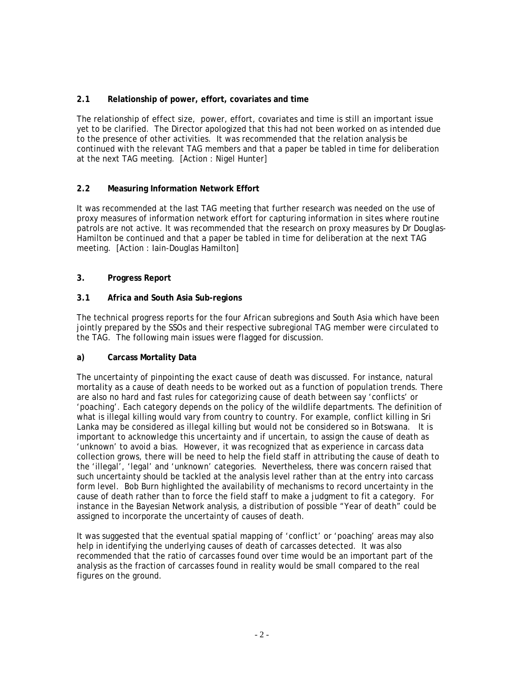# **2.1 Relationship of power, effort, covariates and time**

The relationship of effect size, power, effort, covariates and time is still an important issue yet to be clarified. The Director apologized that this had not been worked on as intended due to the presence of other activities. It was recommended that the relation analysis be continued with the relevant TAG members and that a paper be tabled in time for deliberation at the next TAG meeting. [Action : Nigel Hunter]

# **2.2 Measuring Information Network Effort**

It was recommended at the last TAG meeting that further research was needed on the use of proxy measures of information network effort for capturing information in sites where routine patrols are not active. It was recommended that the research on proxy measures by Dr Douglas-Hamilton be continued and that a paper be tabled in time for deliberation at the next TAG meeting. [Action : Iain-Douglas Hamilton]

# **3. Progress Report**

# **3.1 Africa and South Asia Sub-regions**

The technical progress reports for the four African subregions and South Asia which have been jointly prepared by the SSOs and their respective subregional TAG member were circulated to the TAG. The following main issues were flagged for discussion.

### **a) Carcass Mortality Data**

The uncertainty of pinpointing the exact cause of death was discussed. For instance, natural mortality as a cause of death needs to be worked out as a function of population trends. There are also no hard and fast rules for categorizing cause of death between say 'conflicts' or 'poaching'. Each category depends on the policy of the wildlife departments. The definition of what is illegal killing would vary from country to country. For example, conflict killing in Sri Lanka may be considered as illegal killing but would not be considered so in Botswana. It is important to acknowledge this uncertainty and if uncertain, to assign the cause of death as 'unknown' to avoid a bias. However, it was recognized that as experience in carcass data collection grows, there will be need to help the field staff in attributing the cause of death to the 'illegal', 'legal' and 'unknown' categories. Nevertheless, there was concern raised that such uncertainty should be tackled at the analysis level rather than at the entry into carcass form level. Bob Burn highlighted the availability of mechanisms to record uncertainty in the cause of death rather than to force the field staff to make a judgment to fit a category. For instance in the Bayesian Network analysis, a distribution of possible "Year of death" could be assigned to incorporate the uncertainty of causes of death.

It was suggested that the eventual spatial mapping of 'conflict' or 'poaching' areas may also help in identifying the underlying causes of death of carcasses detected. It was also recommended that the ratio of carcasses found over time would be an important part of the analysis as the fraction of carcasses found in reality would be small compared to the real figures on the ground.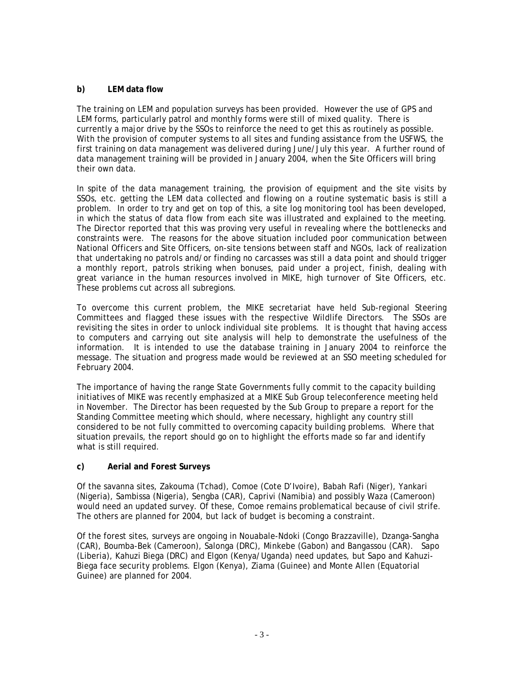## **b) LEM data flow**

The training on LEM and population surveys has been provided. However the use of GPS and LEM forms, particularly patrol and monthly forms were still of mixed quality. There is currently a major drive by the SSOs to reinforce the need to get this as routinely as possible. With the provision of computer systems to all sites and funding assistance from the USFWS, the first training on data management was delivered during June/July this year. A further round of data management training will be provided in January 2004, when the Site Officers will bring their own data.

In spite of the data management training, the provision of equipment and the site visits by SSOs, etc. getting the LEM data collected and flowing on a routine systematic basis is still a problem. In order to try and get on top of this, a site log monitoring tool has been developed, in which the status of data flow from each site was illustrated and explained to the meeting. The Director reported that this was proving very useful in revealing where the bottlenecks and constraints were. The reasons for the above situation included poor communication between National Officers and Site Officers, on-site tensions between staff and NGOs, lack of realization that undertaking no patrols and/or finding no carcasses was still a data point and should trigger a monthly report, patrols striking when bonuses, paid under a project, finish, dealing with great variance in the human resources involved in MIKE, high turnover of Site Officers, etc. These problems cut across all subregions.

To overcome this current problem, the MIKE secretariat have held Sub-regional Steering Committees and flagged these issues with the respective Wildlife Directors. The SSOs are revisiting the sites in order to unlock individual site problems. It is thought that having access to computers and carrying out site analysis will help to demonstrate the usefulness of the information. It is intended to use the database training in January 2004 to reinforce the message. The situation and progress made would be reviewed at an SSO meeting scheduled for February 2004.

The importance of having the range State Governments fully commit to the capacity building initiatives of MIKE was recently emphasized at a MIKE Sub Group teleconference meeting held in November. The Director has been requested by the Sub Group to prepare a report for the Standing Committee meeting which should, where necessary, highlight any country still considered to be not fully committed to overcoming capacity building problems. Where that situation prevails, the report should go on to highlight the efforts made so far and identify what is still required.

### **c) Aerial and Forest Surveys**

Of the savanna sites, Zakouma (Tchad), Comoe (Cote D'Ivoire), Babah Rafi (Niger), Yankari (Nigeria), Sambissa (Nigeria), Sengba (CAR), Caprivi (Namibia) and possibly Waza (Cameroon) would need an updated survey. Of these, Comoe remains problematical because of civil strife. The others are planned for 2004, but lack of budget is becoming a constraint.

Of the forest sites, surveys are ongoing in Nouabale-Ndoki (Congo Brazzaville), Dzanga-Sangha (CAR), Boumba-Bek (Cameroon), Salonga (DRC), Minkebe (Gabon) and Bangassou (CAR). Sapo (Liberia), Kahuzi Biega (DRC) and Elgon (Kenya/Uganda) need updates, but Sapo and Kahuzi-Biega face security problems. Elgon (Kenya), Ziama (Guinee) and Monte Allen (Equatorial Guinee) are planned for 2004.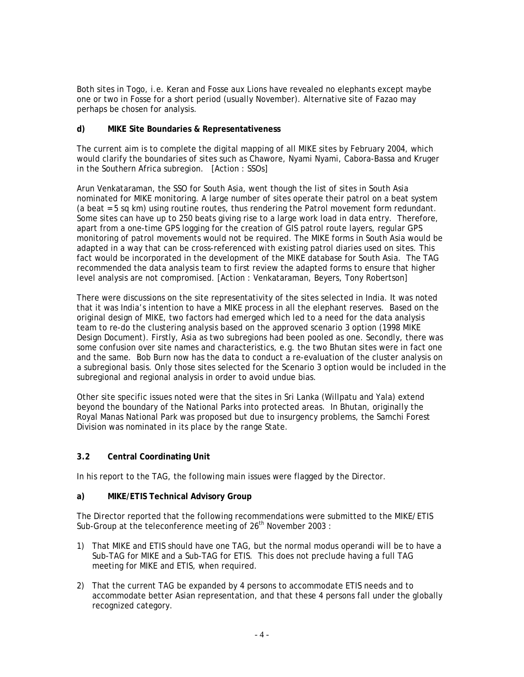Both sites in Togo, i.e. Keran and Fosse aux Lions have revealed no elephants except maybe one or two in Fosse for a short period (usually November). Alternative site of Fazao may perhaps be chosen for analysis.

### **d) MIKE Site Boundaries & Representativeness**

The current aim is to complete the digital mapping of all MIKE sites by February 2004, which would clarify the boundaries of sites such as Chawore, Nyami Nyami, Cabora-Bassa and Kruger in the Southern Africa subregion. [Action : SSOs]

Arun Venkataraman, the SSO for South Asia, went though the list of sites in South Asia nominated for MIKE monitoring. A large number of sites operate their patrol on a beat system (a beat = 5 sq km) using routine routes, thus rendering the Patrol movement form redundant. Some sites can have up to 250 beats giving rise to a large work load in data entry. Therefore, apart from a one-time GPS logging for the creation of GIS patrol route layers, regular GPS monitoring of patrol movements would not be required. The MIKE forms in South Asia would be adapted in a way that can be cross-referenced with existing patrol diaries used on sites. This fact would be incorporated in the development of the MIKE database for South Asia. The TAG recommended the data analysis team to first review the adapted forms to ensure that higher level analysis are not compromised. [Action : Venkataraman, Beyers, Tony Robertson]

There were discussions on the site representativity of the sites selected in India. It was noted that it was India's intention to have a MIKE process in all the elephant reserves. Based on the original design of MIKE, two factors had emerged which led to a need for the data analysis team to re-do the clustering analysis based on the approved scenario 3 option (1998 MIKE Design Document). Firstly, Asia as two subregions had been pooled as one. Secondly, there was some confusion over site names and characteristics, e.g. the two Bhutan sites were in fact one and the same. Bob Burn now has the data to conduct a re-evaluation of the cluster analysis on a subregional basis. Only those sites selected for the Scenario 3 option would be included in the subregional and regional analysis in order to avoid undue bias.

Other site specific issues noted were that the sites in Sri Lanka (Willpatu and Yala) extend beyond the boundary of the National Parks into protected areas. In Bhutan, originally the Royal Manas National Park was proposed but due to insurgency problems, the Samchi Forest Division was nominated in its place by the range State.

# **3.2 Central Coordinating Unit**

In his report to the TAG, the following main issues were flagged by the Director.

### **a) MIKE/ETIS Technical Advisory Group**

The Director reported that the following recommendations were submitted to the MIKE/ETIS Sub-Group at the teleconference meeting of  $26<sup>th</sup>$  November 2003 :

- 1) That MIKE and ETIS should have one TAG, but the normal modus operandi will be to have a Sub-TAG for MIKE and a Sub-TAG for ETIS. This does not preclude having a full TAG meeting for MIKE and ETIS, when required.
- 2) That the current TAG be expanded by 4 persons to accommodate ETIS needs and to accommodate better Asian representation, and that these 4 persons fall under the globally recognized category.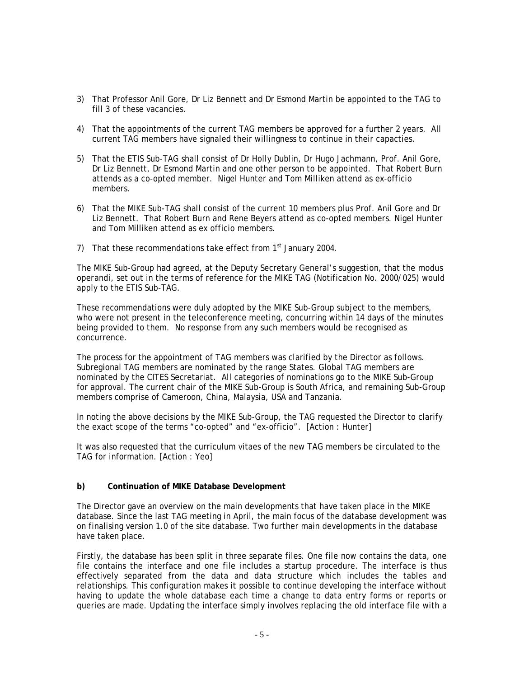- 3) That Professor Anil Gore, Dr Liz Bennett and Dr Esmond Martin be appointed to the TAG to fill 3 of these vacancies.
- 4) That the appointments of the current TAG members be approved for a further 2 years. All current TAG members have signaled their willingness to continue in their capacties.
- 5) That the ETIS Sub-TAG shall consist of Dr Holly Dublin, Dr Hugo Jachmann, Prof. Anil Gore, Dr Liz Bennett, Dr Esmond Martin and one other person to be appointed. That Robert Burn attends as a co-opted member. Nigel Hunter and Tom Milliken attend as ex-officio members.
- 6) That the MIKE Sub-TAG shall consist of the current 10 members plus Prof. Anil Gore and Dr Liz Bennett. That Robert Burn and Rene Beyers attend as co-opted members. Nigel Hunter and Tom Milliken attend as ex officio members.
- 7) That these recommendations take effect from  $1<sup>st</sup>$  January 2004.

The MIKE Sub-Group had agreed, at the Deputy Secretary General's suggestion, that the *modus operandi,* set out in the terms of reference for the MIKE TAG (Notification No. 2000/025) would apply to the ETIS Sub-TAG.

These recommendations were duly adopted by the MIKE Sub-Group subject to the members, who were not present in the teleconference meeting, concurring within 14 days of the minutes being provided to them. No response from any such members would be recognised as concurrence.

The process for the appointment of TAG members was clarified by the Director as follows. Subregional TAG members are nominated by the range States. Global TAG members are nominated by the CITES Secretariat. All categories of nominations go to the MIKE Sub-Group for approval. The current chair of the MIKE Sub-Group is South Africa, and remaining Sub-Group members comprise of Cameroon, China, Malaysia, USA and Tanzania.

In noting the above decisions by the MIKE Sub-Group, the TAG requested the Director to clarify the exact scope of the terms "co-opted" and "ex-officio". [Action : Hunter]

It was also requested that the curriculum vitaes of the new TAG members be circulated to the TAG for information. [Action : Yeo]

### **b) Continuation of MIKE Database Development**

The Director gave an overview on the main developments that have taken place in the MIKE database. Since the last TAG meeting in April, the main focus of the database development was on finalising version 1.0 of the site database. Two further main developments in the database have taken place.

Firstly, the database has been split in three separate files. One file now contains the data, one file contains the interface and one file includes a startup procedure. The interface is thus effectively separated from the data and data structure which includes the tables and relationships. This configuration makes it possible to continue developing the interface without having to update the whole database each time a change to data entry forms or reports or queries are made. Updating the interface simply involves replacing the old interface file with a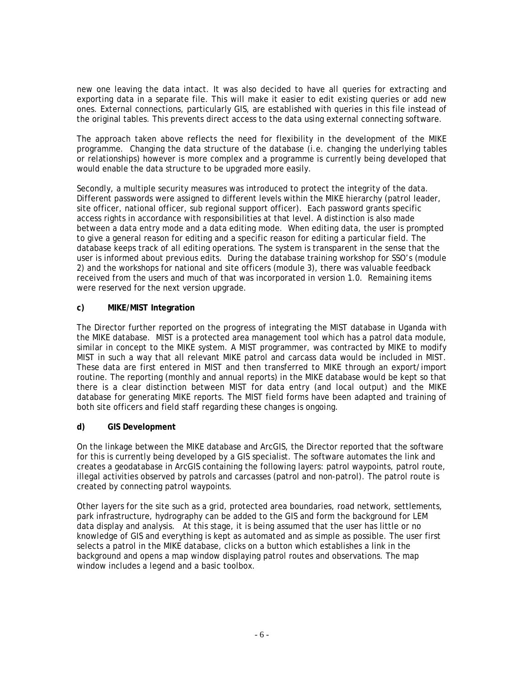new one leaving the data intact. It was also decided to have all queries for extracting and exporting data in a separate file. This will make it easier to edit existing queries or add new ones. External connections, particularly GIS, are established with queries in this file instead of the original tables. This prevents direct access to the data using external connecting software.

The approach taken above reflects the need for flexibility in the development of the MIKE programme. Changing the data structure of the database (i.e. changing the underlying tables or relationships) however is more complex and a programme is currently being developed that would enable the data structure to be upgraded more easily.

Secondly, a multiple security measures was introduced to protect the integrity of the data. Different passwords were assigned to different levels within the MIKE hierarchy (patrol leader, site officer, national officer, sub regional support officer). Each password grants specific access rights in accordance with responsibilities at that level. A distinction is also made between a data entry mode and a data editing mode. When editing data, the user is prompted to give a general reason for editing and a specific reason for editing a particular field. The database keeps track of all editing operations. The system is transparent in the sense that the user is informed about previous edits. During the database training workshop for SSO's (module 2) and the workshops for national and site officers (module 3), there was valuable feedback received from the users and much of that was incorporated in version 1.0. Remaining items were reserved for the next version upgrade.

# **c) MIKE/MIST Integration**

The Director further reported on the progress of integrating the MIST database in Uganda with the MIKE database. MIST is a protected area management tool which has a patrol data module, similar in concept to the MIKE system. A MIST programmer, was contracted by MIKE to modify MIST in such a way that all relevant MIKE patrol and carcass data would be included in MIST. These data are first entered in MIST and then transferred to MIKE through an export/import routine. The reporting (monthly and annual reports) in the MIKE database would be kept so that there is a clear distinction between MIST for data entry (and local output) and the MIKE database for generating MIKE reports. The MIST field forms have been adapted and training of both site officers and field staff regarding these changes is ongoing.

### **d) GIS Development**

On the linkage between the MIKE database and ArcGIS, the Director reported that the software for this is currently being developed by a GIS specialist. The software automates the link and creates a geodatabase in ArcGIS containing the following layers: patrol waypoints, patrol route, illegal activities observed by patrols and carcasses (patrol and non-patrol). The patrol route is created by connecting patrol waypoints.

Other layers for the site such as a grid, protected area boundaries, road network, settlements, park infrastructure, hydrography can be added to the GIS and form the background for LEM data display and analysis. At this stage, it is being assumed that the user has little or no knowledge of GIS and everything is kept as automated and as simple as possible. The user first selects a patrol in the MIKE database, clicks on a button which establishes a link in the background and opens a map window displaying patrol routes and observations. The map window includes a legend and a basic toolbox.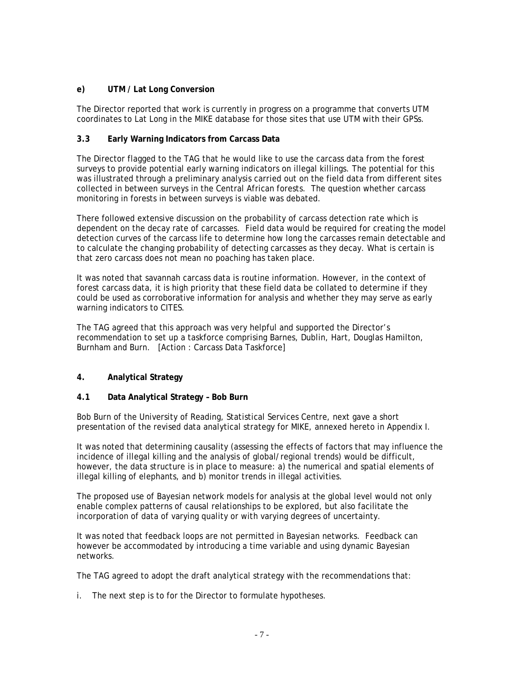## **e) UTM / Lat Long Conversion**

The Director reported that work is currently in progress on a programme that converts UTM coordinates to Lat Long in the MIKE database for those sites that use UTM with their GPSs.

## **3.3 Early Warning Indicators from Carcass Data**

The Director flagged to the TAG that he would like to use the carcass data from the forest surveys to provide potential early warning indicators on illegal killings. The potential for this was illustrated through a preliminary analysis carried out on the field data from different sites collected in between surveys in the Central African forests. The question whether carcass monitoring in forests in between surveys is viable was debated.

There followed extensive discussion on the probability of carcass detection rate which is dependent on the decay rate of carcasses. Field data would be required for creating the model detection curves of the carcass life to determine how long the carcasses remain detectable and to calculate the changing probability of detecting carcasses as they decay. What is certain is that zero carcass does not mean no poaching has taken place.

It was noted that savannah carcass data is routine information. However, in the context of forest carcass data, it is high priority that these field data be collated to determine if they could be used as corroborative information for analysis and whether they may serve as early warning indicators to CITES.

The TAG agreed that this approach was very helpful and supported the Director's recommendation to set up a taskforce comprising Barnes, Dublin, Hart, Douglas Hamilton, Burnham and Burn. [Action : Carcass Data Taskforce]

# **4. Analytical Strategy**

### **4.1 Data Analytical Strategy – Bob Burn**

Bob Burn of the University of Reading, Statistical Services Centre, next gave a short presentation of the revised data analytical strategy for MIKE, annexed hereto in Appendix I.

It was noted that determining causality (assessing the effects of factors that may influence the incidence of illegal killing and the analysis of global/regional trends) would be difficult, however, the data structure is in place to measure: a) the numerical and spatial elements of illegal killing of elephants, and b) monitor trends in illegal activities.

The proposed use of Bayesian network models for analysis at the global level would not only enable complex patterns of causal relationships to be explored, but also facilitate the incorporation of data of varying quality or with varying degrees of uncertainty.

It was noted that feedback loops are not permitted in Bayesian networks. Feedback can however be accommodated by introducing a time variable and using dynamic Bayesian networks.

The TAG agreed to adopt the draft analytical strategy with the recommendations that:

i. The next step is to for the Director to formulate hypotheses.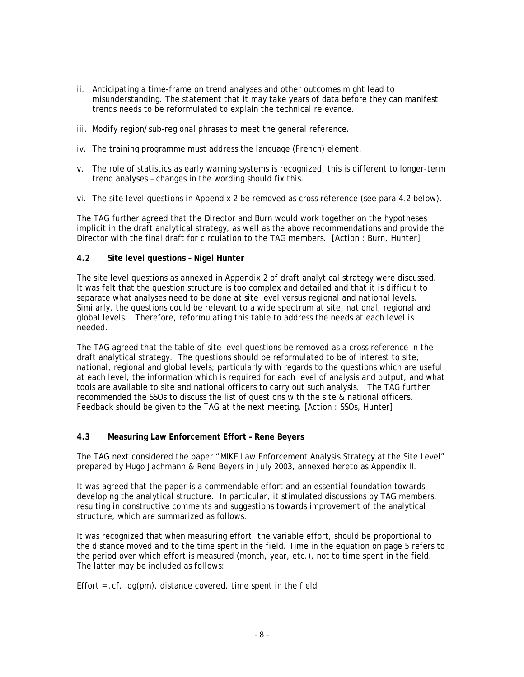- ii. Anticipating a time-frame on trend analyses and other outcomes might lead to misunderstanding. The statement that it may take years of data before they can manifest trends needs to be reformulated to explain the technical relevance.
- iii. Modify region/sub-regional phrases to meet the general reference.
- iv. The training programme must address the language (French) element.
- v. The role of statistics as early warning systems is recognized, this is different to longer-term trend analyses – changes in the wording should fix this.
- vi. The site level questions in Appendix 2 be removed as cross reference (see para 4.2 below).

The TAG further agreed that the Director and Burn would work together on the hypotheses implicit in the draft analytical strategy, as well as the above recommendations and provide the Director with the final draft for circulation to the TAG members. [Action : Burn, Hunter]

#### **4.2 Site level questions – Nigel Hunter**

The site level questions as annexed in Appendix 2 of draft analytical strategy were discussed. It was felt that the question structure is too complex and detailed and that it is difficult to separate what analyses need to be done at site level versus regional and national levels. Similarly, the questions could be relevant to a wide spectrum at site, national, regional and global levels. Therefore, reformulating this table to address the needs at each level is needed.

The TAG agreed that the table of site level questions be removed as a cross reference in the draft analytical strategy. The questions should be reformulated to be of interest to site, national, regional and global levels; particularly with regards to the questions which are useful at each level, the information which is required for each level of analysis and output, and what tools are available to site and national officers to carry out such analysis. The TAG further recommended the SSOs to discuss the list of questions with the site & national officers. Feedback should be given to the TAG at the next meeting. [Action : SSOs, Hunter]

### **4.3 Measuring Law Enforcement Effort – Rene Beyers**

The TAG next considered the paper "MIKE Law Enforcement Analysis Strategy at the Site Level" prepared by Hugo Jachmann & Rene Beyers in July 2003, annexed hereto as Appendix II.

It was agreed that the paper is a commendable effort and an essential foundation towards developing the analytical structure. In particular, it stimulated discussions by TAG members, resulting in constructive comments and suggestions towards improvement of the analytical structure, which are summarized as follows.

It was recognized that when measuring effort, the variable effort, should be proportional to the distance moved and to the time spent in the field. Time in the equation on page 5 refers to the period over which effort is measured (month, year, etc.), not to time spent in the field. The latter may be included as follows:

Effort =  $cf.$  log(pm). distance covered. time spent in the field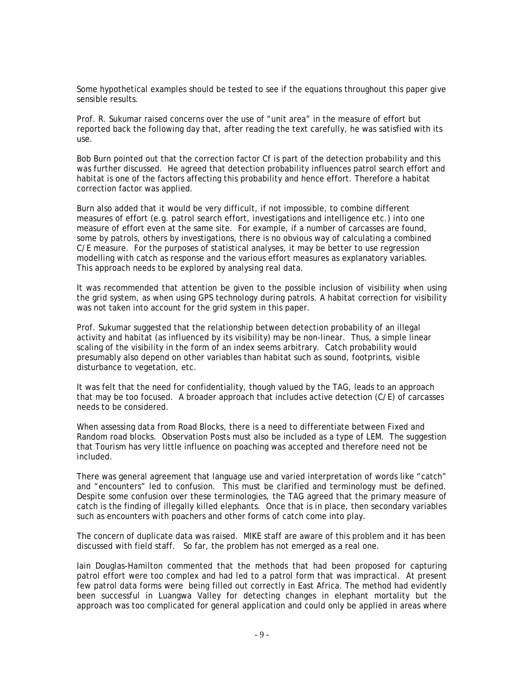Some hypothetical examples should be tested to see if the equations throughout this paper give sensible results.

Prof. R. Sukumar raised concerns over the use of "unit area" in the measure of effort but reported back the following day that, after reading the text carefully, he was satisfied with its use.

Bob Burn pointed out that the correction factor *Cf* is part of the detection probability and this was further discussed. He agreed that detection probability influences patrol search effort and habitat is one of the factors affecting this probability and hence effort. Therefore a habitat correction factor was applied.

Burn also added that it would be very difficult, if not impossible, to combine different measures of effort (e.g. patrol search effort, investigations and intelligence etc.) into one measure of effort even at the same site. For example, if a number of carcasses are found, some by patrols, others by investigations, there is no obvious way of calculating a combined C/E measure. For the purposes of statistical analyses, it may be better to use regression modelling with catch as response and the various effort measures as explanatory variables. This approach needs to be explored by analysing real data.

It was recommended that attention be given to the possible inclusion of visibility when using the grid system, as when using GPS technology during patrols. A habitat correction for visibility was not taken into account for the grid system in this paper.

Prof. Sukumar suggested that the relationship between detection probability of an illegal activity and habitat (as influenced by its visibility) may be non-linear. Thus, a simple linear scaling of the visibility in the form of an index seems arbitrary. Catch probability would presumably also depend on other variables than habitat such as sound, footprints, visible disturbance to vegetation, etc.

It was felt that the need for confidentiality, though valued by the TAG, leads to an approach that may be too focused. A broader approach that includes active detection (C/E) of carcasses needs to be considered.

When assessing data from Road Blocks, there is a need to differentiate between Fixed and Random road blocks. Observation Posts must also be included as a type of LEM. The suggestion that Tourism has very little influence on poaching was accepted and therefore need not be included.

There was general agreement that language use and varied interpretation of words like "catch" and "encounters" led to confusion. This must be clarified and terminology must be defined. Despite some confusion over these terminologies, the TAG agreed that the primary measure of catch is the finding of illegally killed elephants. Once that is in place, then secondary variables such as encounters with poachers and other forms of catch come into play.

The concern of duplicate data was raised. MIKE staff are aware of this problem and it has been discussed with field staff. So far, the problem has not emerged as a real one.

Iain Douglas-Hamilton commented that the methods that had been proposed for capturing patrol effort were too complex and had led to a patrol form that was impractical. At present few patrol data forms were being filled out correctly in East Africa. The method had evidently been successful in Luangwa Valley for detecting changes in elephant mortality but the approach was too complicated for general application and could only be applied in areas where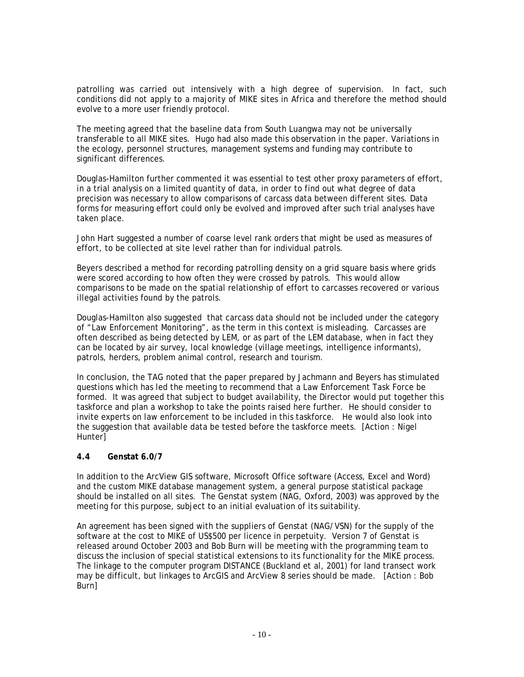patrolling was carried out intensively with a high degree of supervision. In fact, such conditions did not apply to a majority of MIKE sites in Africa and therefore the method should evolve to a more user friendly protocol.

The meeting agreed that the baseline data from South Luangwa may not be universally transferable to all MIKE sites. Hugo had also made this observation in the paper. Variations in the ecology, personnel structures, management systems and funding may contribute to significant differences.

Douglas-Hamilton further commented it was essential to test other proxy parameters of effort, in a trial analysis on a limited quantity of data, in order to find out what degree of data precision was necessary to allow comparisons of carcass data between different sites. Data forms for measuring effort could only be evolved and improved after such trial analyses have taken place.

John Hart suggested a number of coarse level rank orders that might be used as measures of effort, to be collected at site level rather than for individual patrols.

Beyers described a method for recording patrolling density on a grid square basis where grids were scored according to how often they were crossed by patrols. This would allow comparisons to be made on the spatial relationship of effort to carcasses recovered or various illegal activities found by the patrols.

Douglas-Hamilton also suggested that carcass data should not be included under the category of "Law Enforcement Monitoring", as the term in this context is misleading. Carcasses are often described as being detected by LEM, or as part of the LEM database, when in fact they can be located by air survey, local knowledge (village meetings, intelligence informants), patrols, herders, problem animal control, research and tourism.

In conclusion, the TAG noted that the paper prepared by Jachmann and Beyers has stimulated questions which has led the meeting to recommend that a Law Enforcement Task Force be formed. It was agreed that subject to budget availability, the Director would put together this taskforce and plan a workshop to take the points raised here further. He should consider to invite experts on law enforcement to be included in this taskforce. He would also look into the suggestion that available data be tested before the taskforce meets. [Action : Nigel Hunter<sup>1</sup>

### **4.4 Genstat 6.0/7**

In addition to the ArcView GIS software, Microsoft Office software (Access, Excel and Word) and the custom MIKE database management system, a general purpose statistical package should be installed on all sites. The Genstat system (NAG, Oxford, 2003) was approved by the meeting for this purpose, subject to an initial evaluation of its suitability.

An agreement has been signed with the suppliers of Genstat (NAG/VSN) for the supply of the software at the cost to MIKE of US\$500 per licence in perpetuity. Version 7 of Genstat is released around October 2003 and Bob Burn will be meeting with the programming team to discuss the inclusion of special statistical extensions to its functionality for the MIKE process. The linkage to the computer program DISTANCE (Buckland *et* al, 2001) for land transect work may be difficult, but linkages to ArcGIS and ArcView 8 series should be made. [Action : Bob Burn]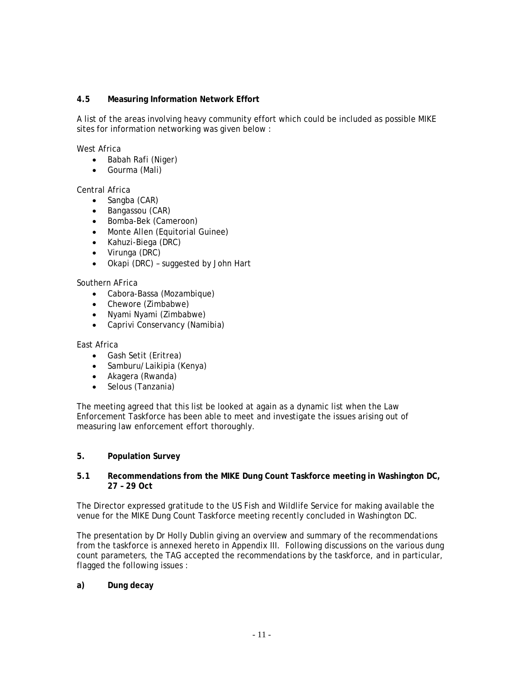### **4.5 Measuring Information Network Effort**

A list of the areas involving heavy community effort which could be included as possible MIKE sites for information networking was given below :

West Africa

- Babah Rafi (Niger)
- Gourma (Mali)

Central Africa

- Sangba (CAR)
- Bangassou (CAR)
- Bomba-Bek (Cameroon)
- Monte Allen (Equitorial Guinee)
- Kahuzi-Biega (DRC)
- Virunga (DRC)
- Okapi (DRC) suggested by John Hart

Southern AFrica

- Cabora-Bassa (Mozambique)
- Chewore (Zimbabwe)
- Nyami Nyami (Zimbabwe)
- Caprivi Conservancy (Namibia)

East Africa

- Gash Setit (Eritrea)
- Samburu/Laikipia (Kenya)
- Akagera (Rwanda)
- Selous (Tanzania)

The meeting agreed that this list be looked at again as a dynamic list when the Law Enforcement Taskforce has been able to meet and investigate the issues arising out of measuring law enforcement effort thoroughly.

#### **5. Population Survey**

#### **5.1 Recommendations from the MIKE Dung Count Taskforce meeting in Washington DC, 27 – 29 Oct**

The Director expressed gratitude to the US Fish and Wildlife Service for making available the venue for the MIKE Dung Count Taskforce meeting recently concluded in Washington DC.

The presentation by Dr Holly Dublin giving an overview and summary of the recommendations from the taskforce is annexed hereto in Appendix III. Following discussions on the various dung count parameters, the TAG accepted the recommendations by the taskforce, and in particular, flagged the following issues :

**a) Dung decay**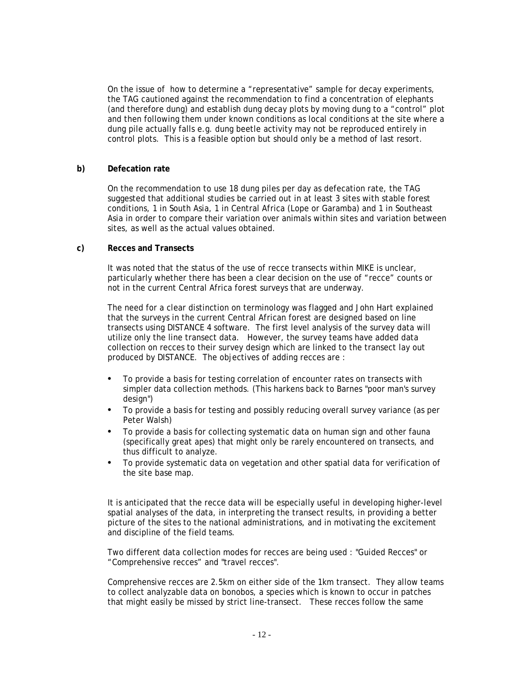On the issue of how to determine a "representative" sample for decay experiments, the TAG cautioned against the recommendation to find a concentration of elephants (and therefore dung) and establish dung decay plots by moving dung to a "control" plot and then following them under known conditions as local conditions at the site where a dung pile actually falls e.g. dung beetle activity may not be reproduced entirely in control plots. This is a feasible option but should only be a method of last resort.

#### **b) Defecation rate**

On the recommendation to use 18 dung piles per day as defecation rate, the TAG suggested that additional studies be carried out in at least 3 sites with stable forest conditions, 1 in South Asia, 1 in Central Africa (Lope or Garamba) and 1 in Southeast Asia in order to compare their variation over animals within sites and variation between sites, as well as the actual values obtained.

#### **c) Recces and Transects**

It was noted that the status of the use of recce transects within MIKE is unclear, particularly whether there has been a clear decision on the use of "recce" counts or not in the current Central Africa forest surveys that are underway.

The need for a clear distinction on terminology was flagged and John Hart explained that the surveys in the current Central African forest are designed based on line transects using DISTANCE 4 software. The first level analysis of the survey data will utilize only the line transect data. However, the survey teams have added data collection on recces to their survey design which are linked to the transect lay out produced by DISTANCE. The objectives of adding recces are :

- To provide a basis for testing correlation of encounter rates on transects with simpler data collection methods. (This harkens back to Barnes "poor man's survey design")
- To provide a basis for testing and possibly reducing overall survey variance (as per Peter Walsh)
- To provide a basis for collecting systematic data on human sign and other fauna (specifically great apes) that might only be rarely encountered on transects, and thus difficult to analyze.
- To provide systematic data on vegetation and other spatial data for verification of the site base map.

It is anticipated that the recce data will be especially useful in developing higher-level spatial analyses of the data, in interpreting the transect results, in providing a better picture of the sites to the national administrations, and in motivating the excitement and discipline of the field teams.

Two different data collection modes for recces are being used : "Guided Recces" or "Comprehensive recces" and "travel recces".

Comprehensive recces are 2.5km on either side of the 1km transect. They allow teams to collect analyzable data on bonobos, a species which is known to occur in patches that might easily be missed by strict line-transect. These recces follow the same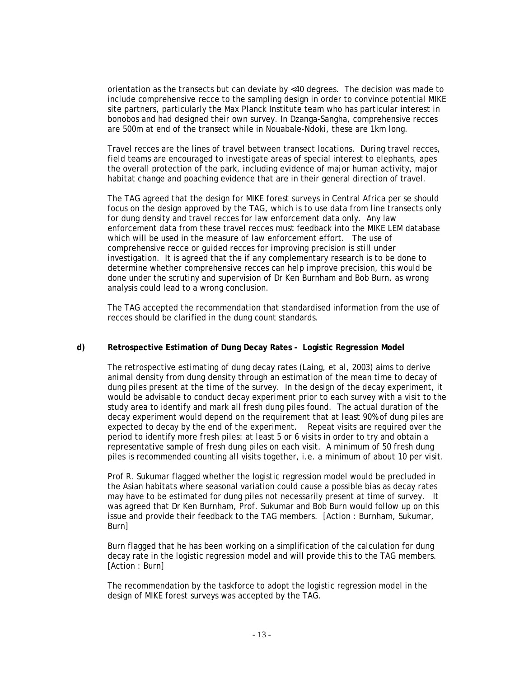orientation as the transects but can deviate by <40 degrees. The decision was made to include comprehensive recce to the sampling design in order to convince potential MIKE site partners, particularly the Max Planck Institute team who has particular interest in bonobos and had designed their own survey. In Dzanga-Sangha, comprehensive recces are 500m at end of the transect while in Nouabale-Ndoki, these are 1km long.

Travel recces are the lines of travel between transect locations. During travel recces, field teams are encouraged to investigate areas of special interest to elephants, apes the overall protection of the park, including evidence of major human activity, major habitat change and poaching evidence that are in their general direction of travel.

The TAG agreed that the design for MIKE forest surveys in Central Africa per se should focus on the design approved by the TAG, which is to use data from line transects only for dung density and travel recces for law enforcement data only. Any law enforcement data from these travel recces must feedback into the MIKE LEM database which will be used in the measure of law enforcement effort. The use of comprehensive recce or guided recces for improving precision is still under investigation. It is agreed that the if any complementary research is to be done to determine whether comprehensive recces can help improve precision, this would be done under the scrutiny and supervision of Dr Ken Burnham and Bob Burn, as wrong analysis could lead to a wrong conclusion.

The TAG accepted the recommendation that standardised information from the use of recces should be clarified in the dung count standards.

### **d) Retrospective Estimation of Dung Decay Rates - Logistic Regression Model**

The retrospective estimating of dung decay rates (Laing, *et al,* 2003) aims to derive animal density from dung density through an estimation of the mean time to decay of dung piles present at the time of the survey. In the design of the decay experiment, it would be advisable to conduct decay experiment prior to each survey with a visit to the study area to identify and mark all fresh dung piles found. The actual duration of the decay experiment would depend on the requirement that at least 90% of dung piles are expected to decay by the end of the experiment. Repeat visits are required over the period to identify more fresh piles: at least 5 or 6 visits in order to try and obtain a representative sample of fresh dung piles on each visit. A minimum of 50 fresh dung piles is recommended counting all visits together, i.e. a minimum of about 10 per visit.

Prof R. Sukumar flagged whether the logistic regression model would be precluded in the Asian habitats where seasonal variation could cause a possible bias as decay rates may have to be estimated for dung piles not necessarily present at time of survey. It was agreed that Dr Ken Burnham, Prof. Sukumar and Bob Burn would follow up on this issue and provide their feedback to the TAG members. [Action : Burnham, Sukumar, Burn]

Burn flagged that he has been working on a simplification of the calculation for dung decay rate in the logistic regression model and will provide this to the TAG members. [Action : Burn]

The recommendation by the taskforce to adopt the logistic regression model in the design of MIKE forest surveys was accepted by the TAG.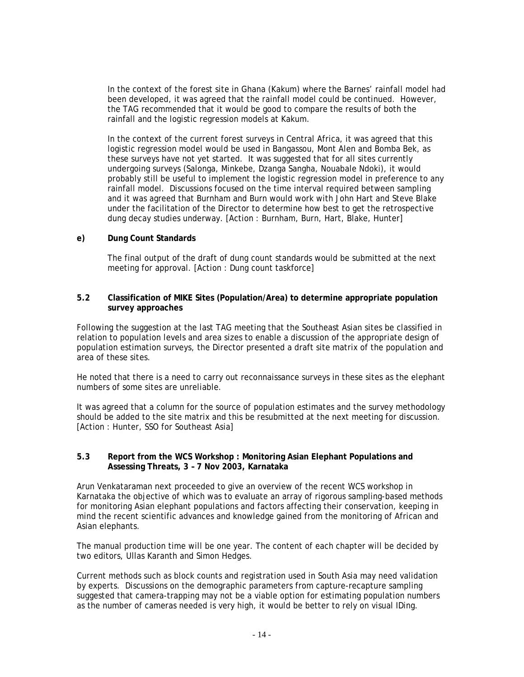In the context of the forest site in Ghana (Kakum) where the Barnes' rainfall model had been developed, it was agreed that the rainfall model could be continued. However, the TAG recommended that it would be good to compare the results of both the rainfall and the logistic regression models at Kakum.

In the context of the current forest surveys in Central Africa, it was agreed that this logistic regression model would be used in Bangassou, Mont Alen and Bomba Bek, as these surveys have not yet started. It was suggested that for all sites currently undergoing surveys (Salonga, Minkebe, Dzanga Sangha, Nouabale Ndoki), it would probably still be useful to implement the logistic regression model in preference to any rainfall model. Discussions focused on the time interval required between sampling and it was agreed that Burnham and Burn would work with John Hart and Steve Blake under the facilitation of the Director to determine how best to get the retrospective dung decay studies underway. [Action : Burnham, Burn, Hart, Blake, Hunter]

#### **e) Dung Count Standards**

The final output of the draft of dung count standards would be submitted at the next meeting for approval. [Action : Dung count taskforce]

#### **5.2 Classification of MIKE Sites (Population/Area) to determine appropriate population survey approaches**

Following the suggestion at the last TAG meeting that the Southeast Asian sites be classified in relation to population levels and area sizes to enable a discussion of the appropriate design of population estimation surveys, the Director presented a draft site matrix of the population and area of these sites.

He noted that there is a need to carry out reconnaissance surveys in these sites as the elephant numbers of some sites are unreliable.

It was agreed that a column for the source of population estimates and the survey methodology should be added to the site matrix and this be resubmitted at the next meeting for discussion. [Action : Hunter, SSO for Southeast Asia]

#### **5.3 Report from the WCS Workshop : Monitoring Asian Elephant Populations and Assessing Threats, 3 – 7 Nov 2003, Karnataka**

Arun Venkataraman next proceeded to give an overview of the recent WCS workshop in Karnataka the objective of which was to evaluate an array of rigorous sampling-based methods for monitoring Asian elephant populations and factors affecting their conservation, keeping in mind the recent scientific advances and knowledge gained from the monitoring of African and Asian elephants.

The manual production time will be one year. The content of each chapter will be decided by two editors, Ullas Karanth and Simon Hedges.

Current methods such as block counts and registration used in South Asia may need validation by experts. Discussions on the demographic parameters from capture-recapture sampling suggested that camera-trapping may not be a viable option for estimating population numbers as the number of cameras needed is very high, it would be better to rely on visual IDing.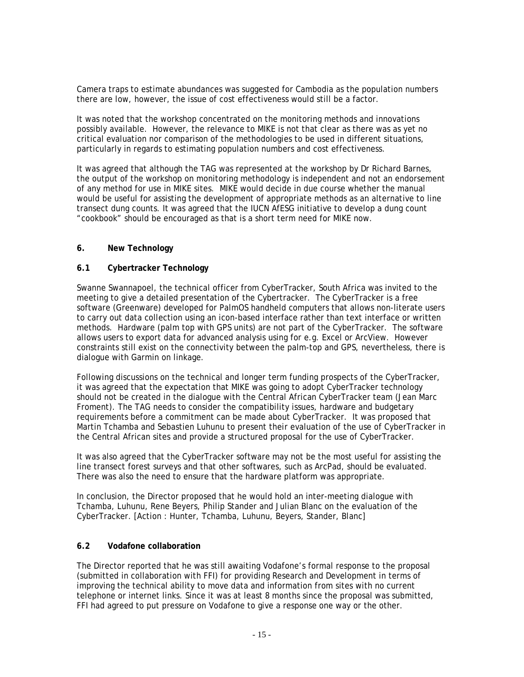Camera traps to estimate abundances was suggested for Cambodia as the population numbers there are low, however, the issue of cost effectiveness would still be a factor.

It was noted that the workshop concentrated on the monitoring methods and innovations possibly available. However, the relevance to MIKE is not that clear as there was as yet no critical evaluation nor comparison of the methodologies to be used in different situations, particularly in regards to estimating population numbers and cost effectiveness.

It was agreed that although the TAG was represented at the workshop by Dr Richard Barnes, the output of the workshop on monitoring methodology is independent and not an endorsement of any method for use in MIKE sites. MIKE would decide in due course whether the manual would be useful for assisting the development of appropriate methods as an alternative to line transect dung counts. It was agreed that the IUCN AfESG initiative to develop a dung count "cookbook" should be encouraged as that is a short term need for MIKE now.

#### **6. New Technology**

#### **6.1 Cybertracker Technology**

Swanne Swannapoel, the technical officer from CyberTracker, South Africa was invited to the meeting to give a detailed presentation of the Cybertracker. The CyberTracker is a free software (Greenware) developed for PalmOS handheld computers that allows non-literate users to carry out data collection using an icon-based interface rather than text interface or written methods. Hardware (palm top with GPS units) are not part of the CyberTracker. The software allows users to export data for advanced analysis using for e.g. Excel or ArcView. However constraints still exist on the connectivity between the palm-top and GPS, nevertheless, there is dialogue with Garmin on linkage.

Following discussions on the technical and longer term funding prospects of the CyberTracker, it was agreed that the expectation that MIKE was going to adopt CyberTracker technology should not be created in the dialogue with the Central African CyberTracker team (Jean Marc Froment). The TAG needs to consider the compatibility issues, hardware and budgetary requirements before a commitment can be made about CyberTracker. It was proposed that Martin Tchamba and Sebastien Luhunu to present their evaluation of the use of CyberTracker in the Central African sites and provide a structured proposal for the use of CyberTracker.

It was also agreed that the CyberTracker software may not be the most useful for assisting the line transect forest surveys and that other softwares, such as ArcPad, should be evaluated. There was also the need to ensure that the hardware platform was appropriate.

In conclusion, the Director proposed that he would hold an inter-meeting dialogue with Tchamba, Luhunu, Rene Beyers, Philip Stander and Julian Blanc on the evaluation of the CyberTracker. [Action : Hunter, Tchamba, Luhunu, Beyers, Stander, Blanc]

#### **6.2 Vodafone collaboration**

The Director reported that he was still awaiting Vodafone's formal response to the proposal (submitted in collaboration with FFI) for providing Research and Development in terms of improving the technical ability to move data and information from sites with no current telephone or internet links. Since it was at least 8 months since the proposal was submitted, FFI had agreed to put pressure on Vodafone to give a response one way or the other.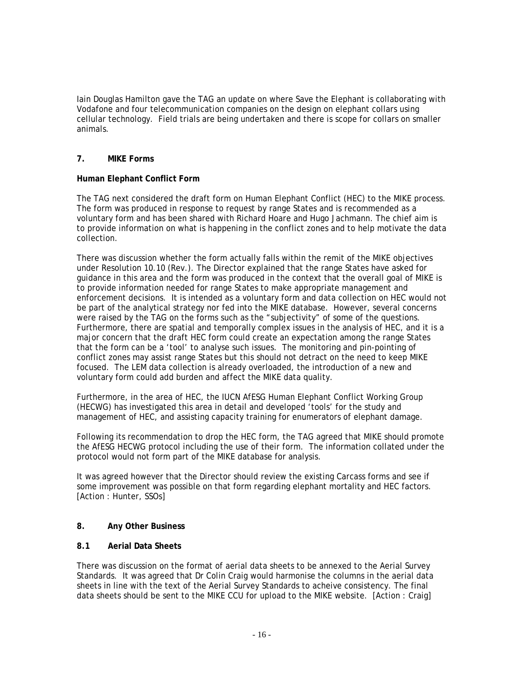Iain Douglas Hamilton gave the TAG an update on where Save the Elephant is collaborating with Vodafone and four telecommunication companies on the design on elephant collars using cellular technology. Field trials are being undertaken and there is scope for collars on smaller animals.

# **7. MIKE Forms**

# **Human Elephant Conflict Form**

The TAG next considered the draft form on Human Elephant Conflict (HEC) to the MIKE process. The form was produced in response to request by range States and is recommended as a voluntary form and has been shared with Richard Hoare and Hugo Jachmann. The chief aim is to provide information on what is happening in the conflict zones and to help motivate the data collection.

There was discussion whether the form actually falls within the remit of the MIKE objectives under Resolution 10.10 (Rev.). The Director explained that the range States have asked for guidance in this area and the form was produced in the context that the overall goal of MIKE is to provide information needed for range States to make appropriate management and enforcement decisions. It is intended as a voluntary form and data collection on HEC would not be part of the analytical strategy nor fed into the MIKE database. However, several concerns were raised by the TAG on the forms such as the "subjectivity" of some of the questions. Furthermore, there are spatial and temporally complex issues in the analysis of HEC, and it is a major concern that the draft HEC form could create an expectation among the range States that the form can be a 'tool' to analyse such issues. The monitoring and pin-pointing of conflict zones may assist range States but this should not detract on the need to keep MIKE focused. The LEM data collection is already overloaded, the introduction of a new and voluntary form could add burden and affect the MIKE data quality.

Furthermore, in the area of HEC, the IUCN AfESG Human Elephant Conflict Working Group (HECWG) has investigated this area in detail and developed 'tools' for the study and management of HEC, and assisting capacity training for enumerators of elephant damage.

Following its recommendation to drop the HEC form, the TAG agreed that MIKE should promote the AfESG HECWG protocol including the use of their form. The information collated under the protocol would not form part of the MIKE database for analysis.

It was agreed however that the Director should review the existing Carcass forms and see if some improvement was possible on that form regarding elephant mortality and HEC factors. [Action : Hunter, SSOs]

### **8. Any Other Business**

### **8.1 Aerial Data Sheets**

There was discussion on the format of aerial data sheets to be annexed to the Aerial Survey Standards. It was agreed that Dr Colin Craig would harmonise the columns in the aerial data sheets in line with the text of the Aerial Survey Standards to acheive consistency. The final data sheets should be sent to the MIKE CCU for upload to the MIKE website. [Action : Craig]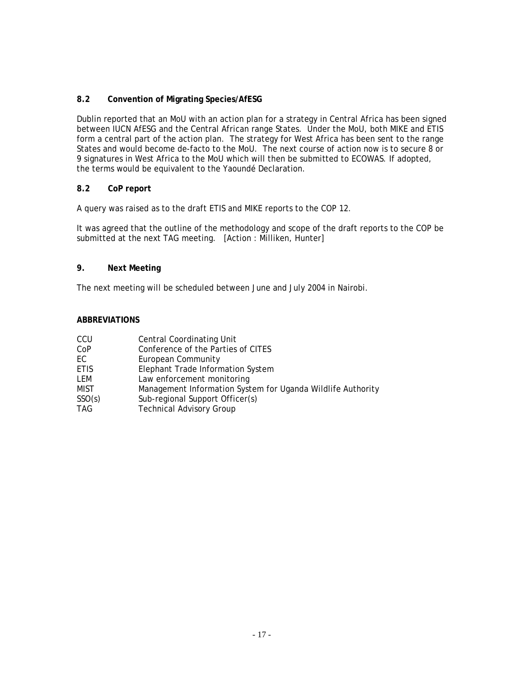# **8.2 Convention of Migrating Species/AfESG**

Dublin reported that an MoU with an action plan for a strategy in Central Africa has been signed between IUCN AfESG and the Central African range States. Under the MoU, both MIKE and ETIS form a central part of the action plan. The strategy for West Africa has been sent to the range States and would become de-facto to the MoU. The next course of action now is to secure 8 or 9 signatures in West Africa to the MoU which will then be submitted to ECOWAS. If adopted, the terms would be equivalent to the Yaoundé Declaration.

## **8.2 CoP report**

A query was raised as to the draft ETIS and MIKE reports to the COP 12.

It was agreed that the outline of the methodology and scope of the draft reports to the COP be submitted at the next TAG meeting. [Action : Milliken, Hunter]

# **9. Next Meeting**

The next meeting will be scheduled between June and July 2004 in Nairobi.

#### **ABBREVIATIONS**

| CCU         | <b>Central Coordinating Unit</b>                            |
|-------------|-------------------------------------------------------------|
| CoP         | Conference of the Parties of CITES                          |
| EC          | European Community                                          |
| <b>ETIS</b> | Elephant Trade Information System                           |
| LEM         | Law enforcement monitoring                                  |
| <b>MIST</b> | Management Information System for Uganda Wildlife Authority |
| SSO(s)      | Sub-regional Support Officer(s)                             |
| <b>TAG</b>  | <b>Technical Advisory Group</b>                             |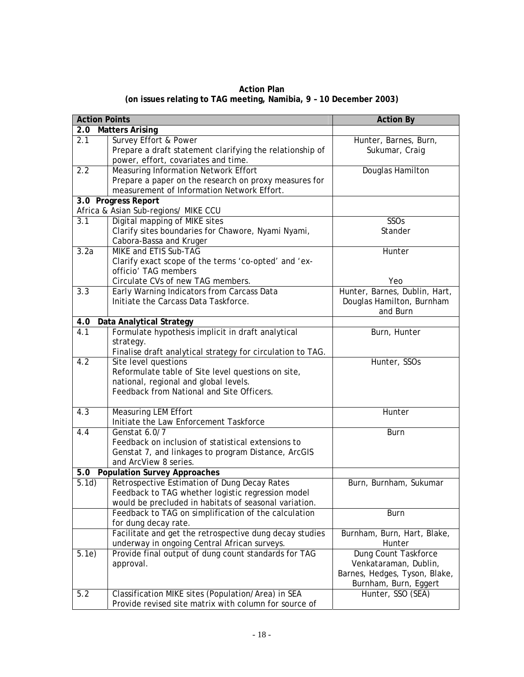| <b>Action Plan</b>                                                 |  |
|--------------------------------------------------------------------|--|
| (on issues relating to TAG meeting, Namibia, 9 - 10 December 2003) |  |

| <b>Action Points</b>          |                                                            | <b>Action By</b>              |
|-------------------------------|------------------------------------------------------------|-------------------------------|
| 2.0<br><b>Matters Arising</b> |                                                            |                               |
| 2.1                           | Survey Effort & Power                                      | Hunter, Barnes, Burn,         |
|                               | Prepare a draft statement clarifying the relationship of   | Sukumar, Craig                |
|                               | power, effort, covariates and time.                        |                               |
| 2.2                           | <b>Measuring Information Network Effort</b>                | Douglas Hamilton              |
|                               | Prepare a paper on the research on proxy measures for      |                               |
|                               | measurement of Information Network Effort.                 |                               |
|                               | 3.0 Progress Report                                        |                               |
|                               | Africa & Asian Sub-regions/ MIKE CCU                       |                               |
| $\overline{3.1}$              | Digital mapping of MIKE sites                              | SSOs                          |
|                               | Clarify sites boundaries for Chawore, Nyami Nyami,         | Stander                       |
|                               | Cabora-Bassa and Kruger                                    |                               |
| 3.2a                          | <b>MIKE and ETIS Sub-TAG</b>                               | Hunter                        |
|                               | Clarify exact scope of the terms 'co-opted' and 'ex-       |                               |
|                               | officio' TAG members                                       |                               |
|                               | Circulate CVs of new TAG members.                          | Yeo                           |
| $\overline{3.3}$              | Early Warning Indicators from Carcass Data                 | Hunter, Barnes, Dublin, Hart, |
|                               | Initiate the Carcass Data Taskforce.                       | Douglas Hamilton, Burnham     |
|                               |                                                            | and Burn                      |
| 4.0                           | Data Analytical Strategy                                   |                               |
| 4.1                           | Formulate hypothesis implicit in draft analytical          | Burn, Hunter                  |
|                               | strategy.                                                  |                               |
|                               | Finalise draft analytical strategy for circulation to TAG. |                               |
| 4.2                           | Site level questions                                       | Hunter, SSOs                  |
|                               | Reformulate table of Site level questions on site,         |                               |
|                               | national, regional and global levels.                      |                               |
|                               | Feedback from National and Site Officers.                  |                               |
|                               |                                                            |                               |
| 4.3                           | <b>Measuring LEM Effort</b>                                | Hunter                        |
|                               | Initiate the Law Enforcement Taskforce                     |                               |
| 4.4                           | Genstat 6.0/7                                              | <b>Burn</b>                   |
|                               | Feedback on inclusion of statistical extensions to         |                               |
|                               | Genstat 7, and linkages to program Distance, ArcGIS        |                               |
|                               | and ArcView 8 series.                                      |                               |
| 5.0                           | <b>Population Survey Approaches</b>                        |                               |
| 5.1d)                         | Retrospective Estimation of Dung Decay Rates               | Burn, Burnham, Sukumar        |
|                               | Feedback to TAG whether logistic regression model          |                               |
|                               | would be precluded in habitats of seasonal variation.      |                               |
|                               | Feedback to TAG on simplification of the calculation       | Burn                          |
|                               | for dung decay rate.                                       |                               |
|                               | Facilitate and get the retrospective dung decay studies    | Burnham, Burn, Hart, Blake,   |
|                               | underway in ongoing Central African surveys.               | Hunter                        |
| 5.1e)                         | Provide final output of dung count standards for TAG       | Dung Count Taskforce          |
|                               | approval.                                                  | Venkataraman, Dublin,         |
|                               |                                                            | Barnes, Hedges, Tyson, Blake, |
|                               |                                                            | Burnham, Burn, Eggert         |
| 5.2                           | Classification MIKE sites (Population/Area) in SEA         | Hunter, SSO (SEA)             |
|                               | Provide revised site matrix with column for source of      |                               |